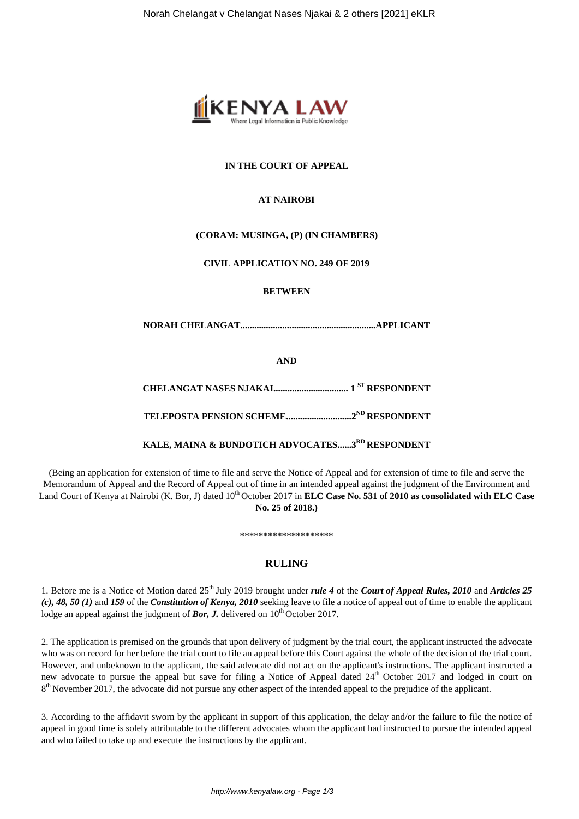

#### **IN THE COURT OF APPEAL**

#### **AT NAIROBI**

#### **(CORAM: MUSINGA, (P) (IN CHAMBERS)**

#### **CIVIL APPLICATION NO. 249 OF 2019**

#### **BETWEEN**

**NORAH CHELANGAT..........................................................APPLICANT**

**AND**

**CHELANGAT NASES NJAKAI................................ 1 ST RESPONDENT**

**TELEPOSTA PENSION SCHEME............................2ND RESPONDENT**

**KALE, MAINA & BUNDOTICH ADVOCATES......3RD RESPONDENT**

(Being an application for extension of time to file and serve the Notice of Appeal and for extension of time to file and serve the Memorandum of Appeal and the Record of Appeal out of time in an intended appeal against the judgment of the Environment and Land Court of Kenya at Nairobi (K. Bor, J) dated 10<sup>th</sup> October 2017 in **ELC Case No. 531 of 2010 as consolidated with ELC Case No. 25 of 2018.)**

## **RULING**

\*\*\*\*\*\*\*\*\*\*\*\*\*\*\*\*\*\*\*\*

1. Before me is a Notice of Motion dated 25th July 2019 brought under *rule 4* of the *Court of Appeal Rules, 2010* and *Articles 25 (c), 48, 50 (1)* and *159* of the *Constitution of Kenya, 2010* seeking leave to file a notice of appeal out of time to enable the applicant lodge an appeal against the judgment of *Bor*, **J**, delivered on  $10^{th}$  October 2017.

2. The application is premised on the grounds that upon delivery of judgment by the trial court, the applicant instructed the advocate who was on record for her before the trial court to file an appeal before this Court against the whole of the decision of the trial court. However, and unbeknown to the applicant, the said advocate did not act on the applicant's instructions. The applicant instructed a new advocate to pursue the appeal but save for filing a Notice of Appeal dated 24<sup>th</sup> October 2017 and lodged in court on 8<sup>th</sup> November 2017, the advocate did not pursue any other aspect of the intended appeal to the prejudice of the applicant.

3. According to the affidavit sworn by the applicant in support of this application, the delay and/or the failure to file the notice of appeal in good time is solely attributable to the different advocates whom the applicant had instructed to pursue the intended appeal and who failed to take up and execute the instructions by the applicant.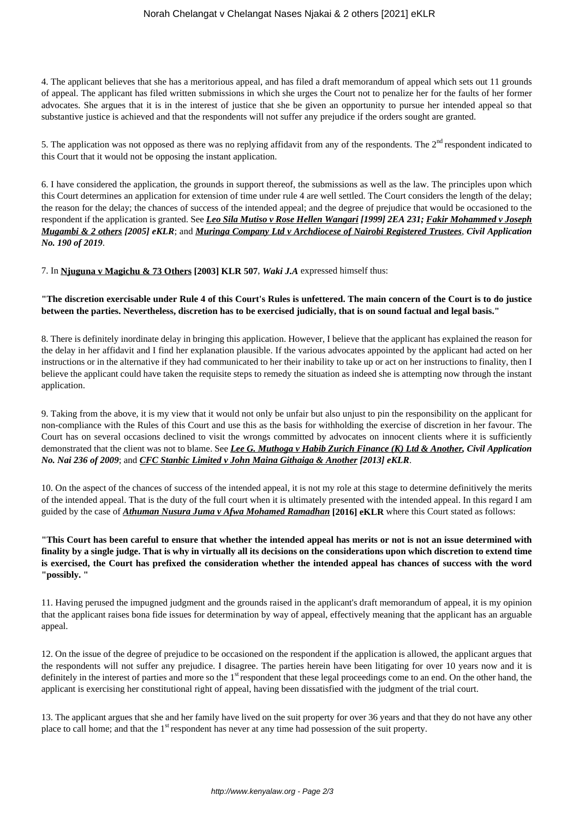4. The applicant believes that she has a meritorious appeal, and has filed a draft memorandum of appeal which sets out 11 grounds of appeal. The applicant has filed written submissions in which she urges the Court not to penalize her for the faults of her former advocates. She argues that it is in the interest of justice that she be given an opportunity to pursue her intended appeal so that substantive justice is achieved and that the respondents will not suffer any prejudice if the orders sought are granted.

5. The application was not opposed as there was no replying affidavit from any of the respondents. The  $2<sup>nd</sup>$  respondent indicated to this Court that it would not be opposing the instant application.

6. I have considered the application, the grounds in support thereof, the submissions as well as the law. The principles upon which this Court determines an application for extension of time under rule 4 are well settled. The Court considers the length of the delay; the reason for the delay; the chances of success of the intended appeal; and the degree of prejudice that would be occasioned to the respondent if the application is granted. See *Leo Sila Mutiso v Rose Hellen Wangari [1999] 2EA 231; Fakir Mohammed v Joseph Mugambi & 2 others [2005] eKLR*; and *Muringa Company Ltd v Archdiocese of Nairobi Registered Trustees, Civil Application No. 190 of 2019*.

7. In **Njuguna v Magichu & 73 Others [2003] KLR 507**, *Waki J.A* expressed himself thus:

#### **"The discretion exercisable under Rule 4 of this Court's Rules is unfettered. The main concern of the Court is to do justice between the parties. Nevertheless, discretion has to be exercised judicially, that is on sound factual and legal basis."**

8. There is definitely inordinate delay in bringing this application. However, I believe that the applicant has explained the reason for the delay in her affidavit and I find her explanation plausible. If the various advocates appointed by the applicant had acted on her instructions or in the alternative if they had communicated to her their inability to take up or act on her instructions to finality, then I believe the applicant could have taken the requisite steps to remedy the situation as indeed she is attempting now through the instant application.

9. Taking from the above, it is my view that it would not only be unfair but also unjust to pin the responsibility on the applicant for non-compliance with the Rules of this Court and use this as the basis for withholding the exercise of discretion in her favour. The Court has on several occasions declined to visit the wrongs committed by advocates on innocent clients where it is sufficiently demonstrated that the client was not to blame. See *Lee G. Muthoga v Habib Zurich Finance (K) Ltd & Another, Civil Application No. Nai 236 of 2009*; and *CFC Stanbic Limited v John Maina Githaiga & Another [2013] eKLR*.

10. On the aspect of the chances of success of the intended appeal, it is not my role at this stage to determine definitively the merits of the intended appeal. That is the duty of the full court when it is ultimately presented with the intended appeal. In this regard I am guided by the case of *Athuman Nusura Juma v Afwa Mohamed Ramadhan* **[2016] eKLR** where this Court stated as follows:

**"This Court has been careful to ensure that whether the intended appeal has merits or not is not an issue determined with finality by a single judge. That is why in virtually all its decisions on the considerations upon which discretion to extend time is exercised, the Court has prefixed the consideration whether the intended appeal has chances of success with the word "possibly. "**

11. Having perused the impugned judgment and the grounds raised in the applicant's draft memorandum of appeal, it is my opinion that the applicant raises bona fide issues for determination by way of appeal, effectively meaning that the applicant has an arguable appeal.

12. On the issue of the degree of prejudice to be occasioned on the respondent if the application is allowed, the applicant argues that the respondents will not suffer any prejudice. I disagree. The parties herein have been litigating for over 10 years now and it is definitely in the interest of parties and more so the 1<sup>st</sup> respondent that these legal proceedings come to an end. On the other hand, the applicant is exercising her constitutional right of appeal, having been dissatisfied with the judgment of the trial court.

13. The applicant argues that she and her family have lived on the suit property for over 36 years and that they do not have any other place to call home; and that the 1<sup>st</sup> respondent has never at any time had possession of the suit property.